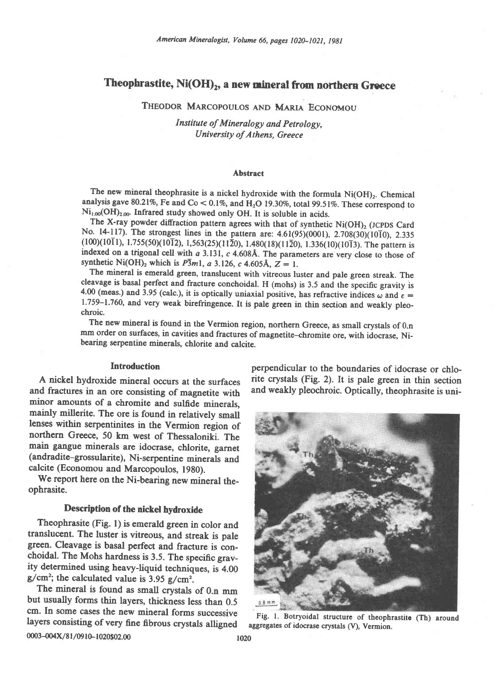# Theophrastite, Ni(OH)<sub>2</sub>, a new mineral from northern Greece

THEODOR MARCOPOULOS AND MARIA ECONOMOU

Institute of Mineralogy and Petrology, University of Athens, Greece

### **Abstract**

The new mineral theophrasite is a nickel hydroxide with the formula Ni(OH)<sub>2</sub>. Chemical analysis gave 80.21%, Fe and Co < 0.1%, and H<sub>2</sub>O 19.30%, total 99.51%. These correspond to Ni<sub>1.00</sub>(OH)<sub>2.00</sub>. Infrared study showed only OH. It is soluble in acids.

The X-ray powder diffraction pattern agrees with that of synthetic  $Ni(OH)_{2}$  (JCPDS Card No. 14-117). The strongest lines in the pattern are: 4.61(95)(0001), 2.708(30)(1010), 2.335  $(100)(10\overline{1}1)$ , 1.755(50)(10 $\overline{1}2$ ), 1,563(25)(11 $\overline{2}0$ ), 1.480(18)(11 $\overline{2}0$ ), 1.336(10)(10 $\overline{1}3$ ). The pattern is indexed on a trigonal cell with a 3.131, c 4.608Å. The parameters are very close to those of synthetic Ni(OH)<sub>2</sub> which is  $P\overline{3}m1$ , a 3.126, c 4.605Å, Z = 1.

The mineral is emerald green, translucent with vitreous luster and pale green streak. The cleavage is basal perfect and fracture conchoidal. H (mohs) is 3.5 and the specific gravity is 4.00 (meas.) and 3.95 (calc.), it is optically uniaxial positive, has refractive indices  $\omega$  and  $\varepsilon =$ 1.759-1.760, and very weak birefringence. It is pale green in thin section and weakly pleochroic.

The new mineral is found in the Vermion region, northern Greece, as small crystals of 0.n mm order on surfaces, in cavities and fractures of magnetite-chromite ore, with idocrase, Nibearing serpentine minerals, chlorite and calcite.

### **Introduction**

A nickel hydroxide mineral occurs at the surfaces and fractures in an ore consisting of magnetite with minor amounts of a chromite and sulfide minerals, mainly millerite. The ore is found in relatively small lenses within serpentinites in the Vermion region of northern Greece, 50 km west of Thessaloniki. The main gangue minerals are idocrase, chlorite, garnet (andradite-grossularite), Ni-serpentine minerals and calcite (Economou and Marcopoulos, 1980).

We report here on the Ni-bearing new mineral theophrasite.

## Description of the nickel hydroxide

Theophrasite (Fig. 1) is emerald green in color and translucent. The luster is vitreous, and streak is pale green. Cleavage is basal perfect and fracture is conchoidal. The Mohs hardness is 3.5. The specific gravity determined using heavy-liquid techniques, is 4.00  $g/cm^2$ ; the calculated value is 3.95  $g/cm^2$ .

The mineral is found as small crystals of 0.n mm but usually forms thin layers, thickness less than 0.5 cm. In some cases the new mineral forms successive layers consisting of very fine fibrous crystals alligned 0003-004X/81/0910-1020\$02.00

perpendicular to the boundaries of idocrase or chlorite crystals (Fig. 2). It is pale green in thin section and weakly pleochroic. Optically, theophrasite is uni-



Fig. 1. Botryoidal structure of theophrastite (Th) around aggregates of idocrase crystals (V), Vermion.